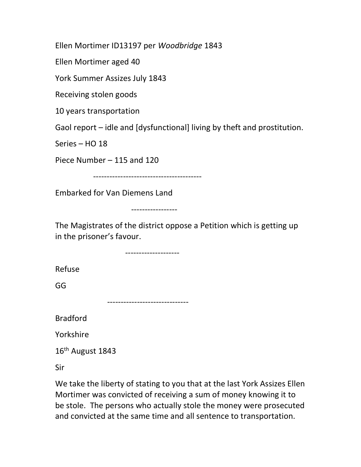Ellen Mortimer ID13197 per Woodbridge 1843

Ellen Mortimer aged 40

York Summer Assizes July 1843

Receiving stolen goods

10 years transportation

Gaol report – idle and [dysfunctional] living by theft and prostitution.

Series – HO 18

Piece Number – 115 and 120

----------------------------------------

Embarked for Van Diemens Land

-----------------

The Magistrates of the district oppose a Petition which is getting up in the prisoner's favour.

--------------------

Refuse

GG

------------------------------

Bradford

Yorkshire

16<sup>th</sup> August 1843

Sir

We take the liberty of stating to you that at the last York Assizes Ellen Mortimer was convicted of receiving a sum of money knowing it to be stole. The persons who actually stole the money were prosecuted and convicted at the same time and all sentence to transportation.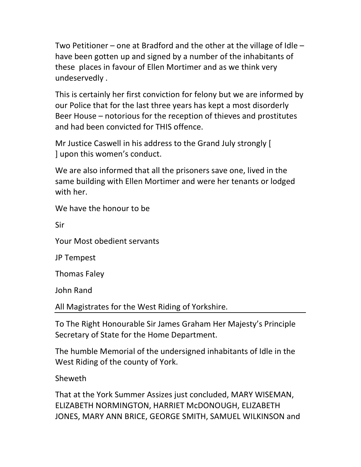Two Petitioner – one at Bradford and the other at the village of Idle – have been gotten up and signed by a number of the inhabitants of these places in favour of Ellen Mortimer and as we think very undeservedly .

This is certainly her first conviction for felony but we are informed by our Police that for the last three years has kept a most disorderly Beer House – notorious for the reception of thieves and prostitutes and had been convicted for THIS offence.

Mr Justice Caswell in his address to the Grand July strongly [ ] upon this women's conduct.

We are also informed that all the prisoners save one, lived in the same building with Ellen Mortimer and were her tenants or lodged with her.

We have the honour to be

Sir

Your Most obedient servants

JP Tempest

Thomas Faley

John Rand

All Magistrates for the West Riding of Yorkshire.

To The Right Honourable Sir James Graham Her Majesty's Principle Secretary of State for the Home Department.

The humble Memorial of the undersigned inhabitants of Idle in the West Riding of the county of York.

Sheweth

That at the York Summer Assizes just concluded, MARY WISEMAN, ELIZABETH NORMINGTON, HARRIET McDONOUGH, ELIZABETH JONES, MARY ANN BRICE, GEORGE SMITH, SAMUEL WILKINSON and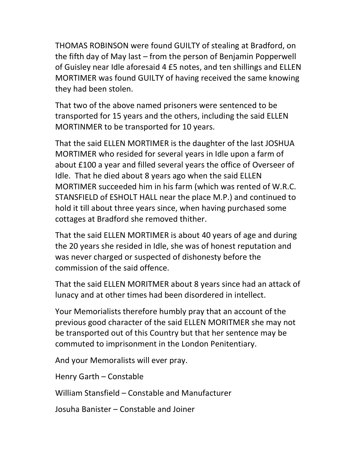THOMAS ROBINSON were found GUILTY of stealing at Bradford, on the fifth day of May last – from the person of Benjamin Popperwell of Guisley near Idle aforesaid 4 £5 notes, and ten shillings and ELLEN MORTIMER was found GUILTY of having received the same knowing they had been stolen.

That two of the above named prisoners were sentenced to be transported for 15 years and the others, including the said ELLEN MORTINMER to be transported for 10 years.

That the said ELLEN MORTIMER is the daughter of the last JOSHUA MORTIMER who resided for several years in Idle upon a farm of about £100 a year and filled several years the office of Overseer of Idle. That he died about 8 years ago when the said ELLEN MORTIMER succeeded him in his farm (which was rented of W.R.C. STANSFIELD of ESHOLT HALL near the place M.P.) and continued to hold it till about three years since, when having purchased some cottages at Bradford she removed thither.

That the said ELLEN MORTIMER is about 40 years of age and during the 20 years she resided in Idle, she was of honest reputation and was never charged or suspected of dishonesty before the commission of the said offence.

That the said ELLEN MORITMER about 8 years since had an attack of lunacy and at other times had been disordered in intellect.

Your Memorialists therefore humbly pray that an account of the previous good character of the said ELLEN MORITMER she may not be transported out of this Country but that her sentence may be commuted to imprisonment in the London Penitentiary.

And your Memoralists will ever pray.

Henry Garth – Constable

William Stansfield – Constable and Manufacturer

Josuha Banister – Constable and Joiner